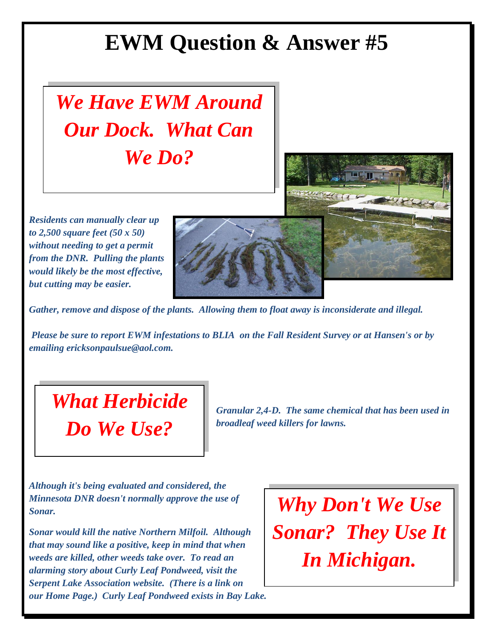## **EWM Question & Answer #5**



*Residents can manually clear up to 2,500 square feet (50 x 50) without needing to get a permit from the DNR. Pulling the plants would likely be the most effective, but cutting may be easier.*



*Gather, remove and dispose of the plants. Allowing them to float away is inconsiderate and illegal.* 

*Please be sure to report EWM infestations to BLIA on the Fall Resident Survey or at Hansen's or by emailing ericksonpaulsue@aol.com.*

## *What Herbicide Do We Use?*

*Granular 2,4-D. The same chemical that has been used in broadleaf weed killers for lawns.*

*Although it's being evaluated and considered, the Minnesota DNR doesn't normally approve the use of Sonar.* 

*Sonar would kill the native Northern Milfoil. Although that may sound like a positive, keep in mind that when weeds are killed, other weeds take over. To read an alarming story about Curly Leaf Pondweed, visit the Serpent Lake Association website. (There is a link on our Home Page.) Curly Leaf Pondweed exists in Bay Lake.*

*Why Don't We Use Sonar? They Use It In Michigan.*